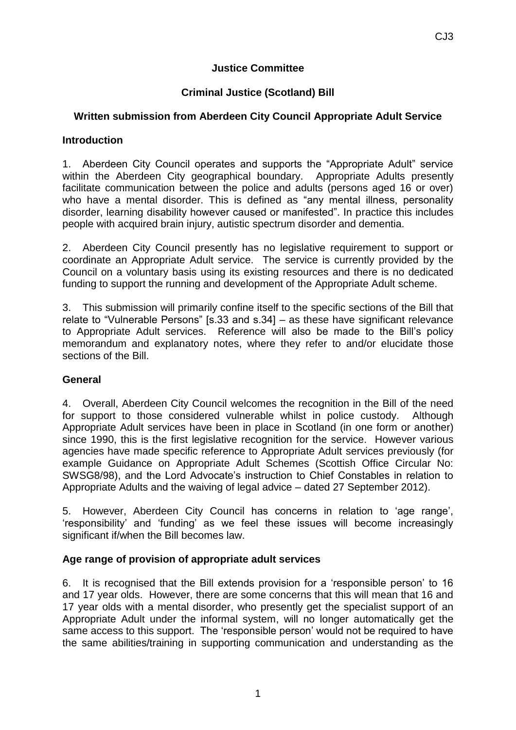### **Justice Committee**

## **Criminal Justice (Scotland) Bill**

## **Written submission from Aberdeen City Council Appropriate Adult Service**

#### **Introduction**

1. Aberdeen City Council operates and supports the "Appropriate Adult" service within the Aberdeen City geographical boundary. Appropriate Adults presently facilitate communication between the police and adults (persons aged 16 or over) who have a mental disorder. This is defined as "any mental illness, personality disorder, learning disability however caused or manifested". In practice this includes people with acquired brain injury, autistic spectrum disorder and dementia.

2. Aberdeen City Council presently has no legislative requirement to support or coordinate an Appropriate Adult service. The service is currently provided by the Council on a voluntary basis using its existing resources and there is no dedicated funding to support the running and development of the Appropriate Adult scheme.

3. This submission will primarily confine itself to the specific sections of the Bill that relate to "Vulnerable Persons" [s.33 and s.34] – as these have significant relevance to Appropriate Adult services. Reference will also be made to the Bill's policy memorandum and explanatory notes, where they refer to and/or elucidate those sections of the Bill.

#### **General**

4. Overall, Aberdeen City Council welcomes the recognition in the Bill of the need for support to those considered vulnerable whilst in police custody. Although Appropriate Adult services have been in place in Scotland (in one form or another) since 1990, this is the first legislative recognition for the service. However various agencies have made specific reference to Appropriate Adult services previously (for example Guidance on Appropriate Adult Schemes (Scottish Office Circular No: SWSG8/98), and the Lord Advocate's instruction to Chief Constables in relation to Appropriate Adults and the waiving of legal advice – dated 27 September 2012).

5. However, Aberdeen City Council has concerns in relation to 'age range', 'responsibility' and 'funding' as we feel these issues will become increasingly significant if/when the Bill becomes law.

# **Age range of provision of appropriate adult services**

6. It is recognised that the Bill extends provision for a 'responsible person' to 16 and 17 year olds. However, there are some concerns that this will mean that 16 and 17 year olds with a mental disorder, who presently get the specialist support of an Appropriate Adult under the informal system, will no longer automatically get the same access to this support. The 'responsible person' would not be required to have the same abilities/training in supporting communication and understanding as the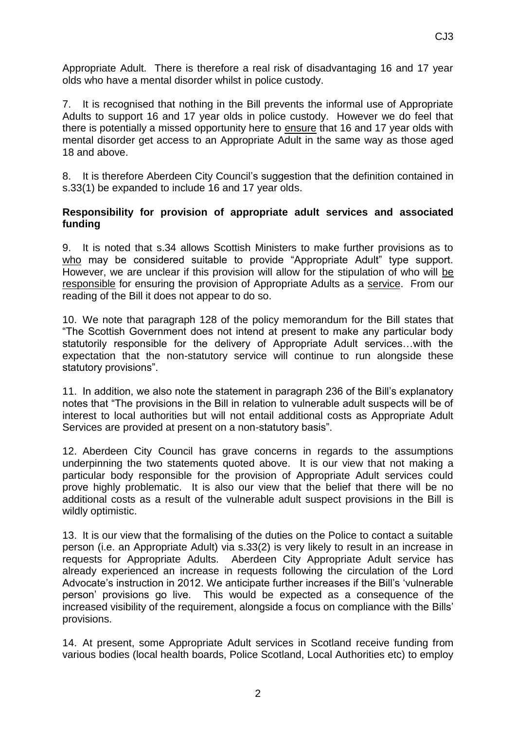Appropriate Adult. There is therefore a real risk of disadvantaging 16 and 17 year olds who have a mental disorder whilst in police custody.

7. It is recognised that nothing in the Bill prevents the informal use of Appropriate Adults to support 16 and 17 year olds in police custody. However we do feel that there is potentially a missed opportunity here to ensure that 16 and 17 year olds with mental disorder get access to an Appropriate Adult in the same way as those aged 18 and above.

8. It is therefore Aberdeen City Council's suggestion that the definition contained in s.33(1) be expanded to include 16 and 17 year olds.

## **Responsibility for provision of appropriate adult services and associated funding**

9. It is noted that s.34 allows Scottish Ministers to make further provisions as to who may be considered suitable to provide "Appropriate Adult" type support. However, we are unclear if this provision will allow for the stipulation of who will be responsible for ensuring the provision of Appropriate Adults as a service. From our reading of the Bill it does not appear to do so.

10. We note that paragraph 128 of the policy memorandum for the Bill states that "The Scottish Government does not intend at present to make any particular body statutorily responsible for the delivery of Appropriate Adult services…with the expectation that the non-statutory service will continue to run alongside these statutory provisions".

11. In addition, we also note the statement in paragraph 236 of the Bill's explanatory notes that "The provisions in the Bill in relation to vulnerable adult suspects will be of interest to local authorities but will not entail additional costs as Appropriate Adult Services are provided at present on a non-statutory basis".

12. Aberdeen City Council has grave concerns in regards to the assumptions underpinning the two statements quoted above. It is our view that not making a particular body responsible for the provision of Appropriate Adult services could prove highly problematic. It is also our view that the belief that there will be no additional costs as a result of the vulnerable adult suspect provisions in the Bill is wildly optimistic.

13. It is our view that the formalising of the duties on the Police to contact a suitable person (i.e. an Appropriate Adult) via s.33(2) is very likely to result in an increase in requests for Appropriate Adults. Aberdeen City Appropriate Adult service has already experienced an increase in requests following the circulation of the Lord Advocate's instruction in 2012. We anticipate further increases if the Bill's 'vulnerable person' provisions go live. This would be expected as a consequence of the increased visibility of the requirement, alongside a focus on compliance with the Bills' provisions.

14. At present, some Appropriate Adult services in Scotland receive funding from various bodies (local health boards, Police Scotland, Local Authorities etc) to employ